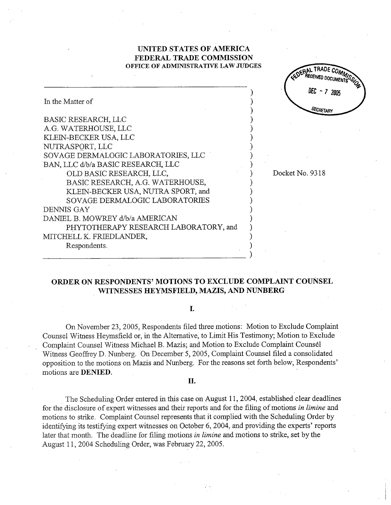## UNITED. STATES OF AMRICA FEDERAL TRADE COMMISSION OFFICE OF ADMINISTRATIVE LAW JUDGES

EDERAL TRADE COMMENT

DEC - 7 2005

**SECRETARY** 

|                                       | ן שטיי               |
|---------------------------------------|----------------------|
| In the Matter of                      | DFC<br><b>SECRET</b> |
| BASIC RESEARCH, LLC                   |                      |
| A.G. WATERHOUSE, LLC                  |                      |
| KLEIN-BECKER USA, LLC                 |                      |
| NUTRASPORT, LLC                       |                      |
| SOVAGE DERMALOGIC LABORATORIES, LLC   |                      |
| BAN, LLC d/b/a BASIC RESEARCH, LLC    |                      |
| OLD BASIC RESEARCH, LLC,              | Docket No. 9318      |
| BASIC RESEARCH, A.G. WATERHOUSE,      |                      |
| KLEIN-BECKER USA, NUTRA SPORT, and    |                      |
| SOVAGE DERMALOGIC LABORATORIES        |                      |
| DENNIS GAY                            |                      |
| DANIEL B. MOWREY d/b/a AMERICAN       |                      |
| PHYTOTHERAPY RESEARCH LABORATORY, and |                      |
| MITCHELL K. FRIEDLANDER,              |                      |
| Respondents.                          |                      |
|                                       |                      |

# ORDER ON RESPONDENTS' MOTIONS TO EXCLUDE COMPLAINT COUNSEL WITNESSES HEYMSFIELD, MAZIS, AND NUNBERG

### $\mathbf{I}$ .

On November 23 2005, Respondents filed three motions: Motion to Exclude Complaint Counsel Witness Heymsfield or, in the Alternative, to Limit His Testimony; Motion to Exclude . Complaint Counsel Witness Michael B. Mazis; and Motion to Exclude Complaint Counsel Witness Geoffrey D. Nunberg. On December 5, 2005, Complaint Counsel filed a consolidated opposition to the motions on Mazis and Nunberg. For the reasons set forth below, Respondents' motions are DENIED.

#### II.

The Scheduling Order entered in this case on August 11, 2004, established clear deadlines for the disclosure of expert witnesses and their reports and for the filing of motions in limine and motions to strike. Complaint Counsel represents that it complied with the Scheduling Order by identifying its testifying expert witnesses on October 6, 2004, and providing the experts' reports later that month. The deadline for filing motions in limine and motions to strike, set by the August 11, 2004 Scheduling Order, was February 22, 2005.